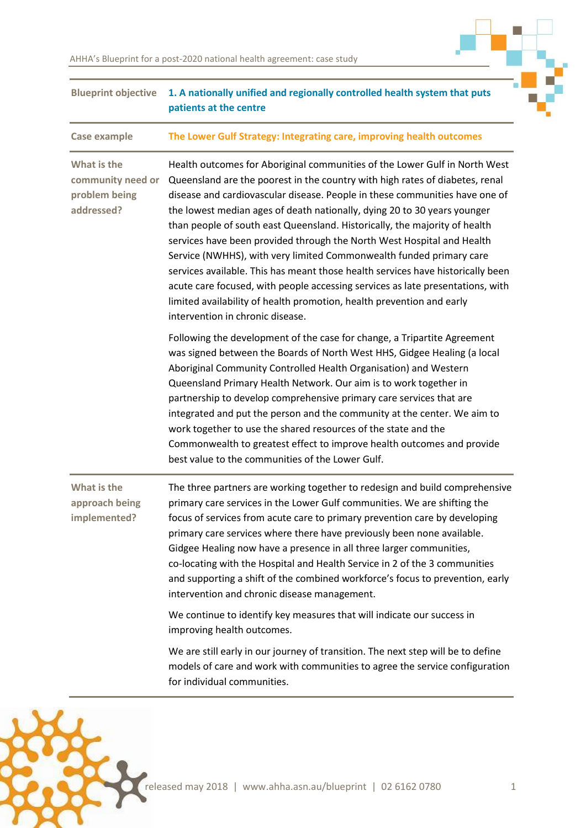| <b>Blueprint objective</b>                                      | 1. A nationally unified and regionally controlled health system that puts<br>patients at the centre                                                                                                                                                                                                                                                                                                                                                                                                                                                                                                                                                                                                                                                                                                                                    |
|-----------------------------------------------------------------|----------------------------------------------------------------------------------------------------------------------------------------------------------------------------------------------------------------------------------------------------------------------------------------------------------------------------------------------------------------------------------------------------------------------------------------------------------------------------------------------------------------------------------------------------------------------------------------------------------------------------------------------------------------------------------------------------------------------------------------------------------------------------------------------------------------------------------------|
| Case example                                                    | The Lower Gulf Strategy: Integrating care, improving health outcomes                                                                                                                                                                                                                                                                                                                                                                                                                                                                                                                                                                                                                                                                                                                                                                   |
| What is the<br>community need or<br>problem being<br>addressed? | Health outcomes for Aboriginal communities of the Lower Gulf in North West<br>Queensland are the poorest in the country with high rates of diabetes, renal<br>disease and cardiovascular disease. People in these communities have one of<br>the lowest median ages of death nationally, dying 20 to 30 years younger<br>than people of south east Queensland. Historically, the majority of health<br>services have been provided through the North West Hospital and Health<br>Service (NWHHS), with very limited Commonwealth funded primary care<br>services available. This has meant those health services have historically been<br>acute care focused, with people accessing services as late presentations, with<br>limited availability of health promotion, health prevention and early<br>intervention in chronic disease. |
|                                                                 | Following the development of the case for change, a Tripartite Agreement<br>was signed between the Boards of North West HHS, Gidgee Healing (a local<br>Aboriginal Community Controlled Health Organisation) and Western<br>Queensland Primary Health Network. Our aim is to work together in<br>partnership to develop comprehensive primary care services that are<br>integrated and put the person and the community at the center. We aim to<br>work together to use the shared resources of the state and the<br>Commonwealth to greatest effect to improve health outcomes and provide<br>best value to the communities of the Lower Gulf.                                                                                                                                                                                       |
| What is the<br>approach being<br>implemented?                   | The three partners are working together to redesign and build comprehensive<br>primary care services in the Lower Gulf communities. We are shifting the<br>focus of services from acute care to primary prevention care by developing<br>primary care services where there have previously been none available.<br>Gidgee Healing now have a presence in all three larger communities,<br>co-locating with the Hospital and Health Service in 2 of the 3 communities<br>and supporting a shift of the combined workforce's focus to prevention, early<br>intervention and chronic disease management.                                                                                                                                                                                                                                  |
|                                                                 | We continue to identify key measures that will indicate our success in<br>improving health outcomes.                                                                                                                                                                                                                                                                                                                                                                                                                                                                                                                                                                                                                                                                                                                                   |
|                                                                 | We are still early in our journey of transition. The next step will be to define<br>models of care and work with communities to agree the service configuration<br>for individual communities.                                                                                                                                                                                                                                                                                                                                                                                                                                                                                                                                                                                                                                         |